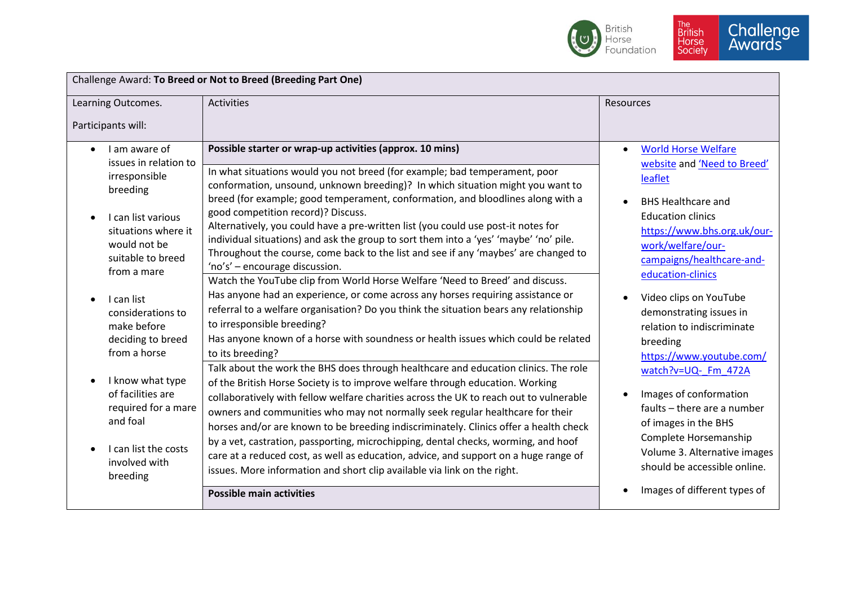

| Challenge Award: To Breed or Not to Breed (Breeding Part One)                                                                                                                                                                                                                                                                                                                                             |                                                                                                                                                                                                                                                                                                                                                                                                                                                                                                                                                                                                                                                                                                                                                                                                                                                                                                                                                                                                                                                                                                                                                                                                                                                                                                                                                                                                                                                                                                                                                                                                                                                                                                                                                                                                       |                                                                                                                                                                                                                                                                                                                                                                                                                                                                                                                                                                                                              |  |  |
|-----------------------------------------------------------------------------------------------------------------------------------------------------------------------------------------------------------------------------------------------------------------------------------------------------------------------------------------------------------------------------------------------------------|-------------------------------------------------------------------------------------------------------------------------------------------------------------------------------------------------------------------------------------------------------------------------------------------------------------------------------------------------------------------------------------------------------------------------------------------------------------------------------------------------------------------------------------------------------------------------------------------------------------------------------------------------------------------------------------------------------------------------------------------------------------------------------------------------------------------------------------------------------------------------------------------------------------------------------------------------------------------------------------------------------------------------------------------------------------------------------------------------------------------------------------------------------------------------------------------------------------------------------------------------------------------------------------------------------------------------------------------------------------------------------------------------------------------------------------------------------------------------------------------------------------------------------------------------------------------------------------------------------------------------------------------------------------------------------------------------------------------------------------------------------------------------------------------------------|--------------------------------------------------------------------------------------------------------------------------------------------------------------------------------------------------------------------------------------------------------------------------------------------------------------------------------------------------------------------------------------------------------------------------------------------------------------------------------------------------------------------------------------------------------------------------------------------------------------|--|--|
| Learning Outcomes.<br>Participants will:                                                                                                                                                                                                                                                                                                                                                                  | <b>Activities</b>                                                                                                                                                                                                                                                                                                                                                                                                                                                                                                                                                                                                                                                                                                                                                                                                                                                                                                                                                                                                                                                                                                                                                                                                                                                                                                                                                                                                                                                                                                                                                                                                                                                                                                                                                                                     | Resources                                                                                                                                                                                                                                                                                                                                                                                                                                                                                                                                                                                                    |  |  |
| I am aware of<br>$\bullet$<br>issues in relation to<br>irresponsible<br>breeding<br>I can list various<br>situations where it<br>would not be<br>suitable to breed<br>from a mare<br>I can list<br>considerations to<br>make before<br>deciding to breed<br>from a horse<br>I know what type<br>of facilities are<br>required for a mare<br>and foal<br>I can list the costs<br>involved with<br>breeding | Possible starter or wrap-up activities (approx. 10 mins)<br>In what situations would you not breed (for example; bad temperament, poor<br>conformation, unsound, unknown breeding)? In which situation might you want to<br>breed (for example; good temperament, conformation, and bloodlines along with a<br>good competition record)? Discuss.<br>Alternatively, you could have a pre-written list (you could use post-it notes for<br>individual situations) and ask the group to sort them into a 'yes' 'maybe' 'no' pile.<br>Throughout the course, come back to the list and see if any 'maybes' are changed to<br>'no's' - encourage discussion.<br>Watch the YouTube clip from World Horse Welfare 'Need to Breed' and discuss.<br>Has anyone had an experience, or come across any horses requiring assistance or<br>referral to a welfare organisation? Do you think the situation bears any relationship<br>to irresponsible breeding?<br>Has anyone known of a horse with soundness or health issues which could be related<br>to its breeding?<br>Talk about the work the BHS does through healthcare and education clinics. The role<br>of the British Horse Society is to improve welfare through education. Working<br>collaboratively with fellow welfare charities across the UK to reach out to vulnerable<br>owners and communities who may not normally seek regular healthcare for their<br>horses and/or are known to be breeding indiscriminately. Clinics offer a health check<br>by a vet, castration, passporting, microchipping, dental checks, worming, and hoof<br>care at a reduced cost, as well as education, advice, and support on a huge range of<br>issues. More information and short clip available via link on the right.<br><b>Possible main activities</b> | <b>World Horse Welfare</b><br>$\bullet$<br>website and 'Need to Breed'<br>leaflet<br><b>BHS Healthcare and</b><br><b>Education clinics</b><br>https://www.bhs.org.uk/our-<br>work/welfare/our-<br>campaigns/healthcare-and-<br>education-clinics<br>Video clips on YouTube<br>demonstrating issues in<br>relation to indiscriminate<br>breeding<br>https://www.youtube.com/<br>watch?v=UQ-_Fm_472A<br>Images of conformation<br>faults - there are a number<br>of images in the BHS<br>Complete Horsemanship<br>Volume 3. Alternative images<br>should be accessible online.<br>Images of different types of |  |  |
|                                                                                                                                                                                                                                                                                                                                                                                                           |                                                                                                                                                                                                                                                                                                                                                                                                                                                                                                                                                                                                                                                                                                                                                                                                                                                                                                                                                                                                                                                                                                                                                                                                                                                                                                                                                                                                                                                                                                                                                                                                                                                                                                                                                                                                       |                                                                                                                                                                                                                                                                                                                                                                                                                                                                                                                                                                                                              |  |  |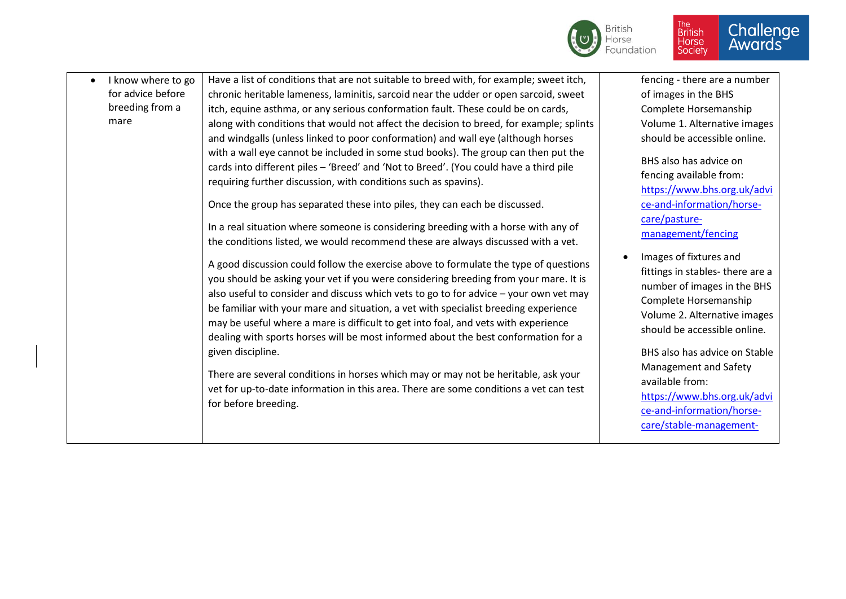

| I know where to go<br>$\bullet$ | Have a list of conditions that are not suitable to breed with, for example; sweet itch,                                                                                                                                                                                                                                                                                                                                                                                                                                                                                                                                                                                                                                                                                                                                                                                                                                                                                                                                                                                                                                                                                                                                                                                        | fencing - there are a number                                                                                                                                                                                                                                                                                                                                                                                                                                                                                  |
|---------------------------------|--------------------------------------------------------------------------------------------------------------------------------------------------------------------------------------------------------------------------------------------------------------------------------------------------------------------------------------------------------------------------------------------------------------------------------------------------------------------------------------------------------------------------------------------------------------------------------------------------------------------------------------------------------------------------------------------------------------------------------------------------------------------------------------------------------------------------------------------------------------------------------------------------------------------------------------------------------------------------------------------------------------------------------------------------------------------------------------------------------------------------------------------------------------------------------------------------------------------------------------------------------------------------------|---------------------------------------------------------------------------------------------------------------------------------------------------------------------------------------------------------------------------------------------------------------------------------------------------------------------------------------------------------------------------------------------------------------------------------------------------------------------------------------------------------------|
| for advice before               | chronic heritable lameness, laminitis, sarcoid near the udder or open sarcoid, sweet                                                                                                                                                                                                                                                                                                                                                                                                                                                                                                                                                                                                                                                                                                                                                                                                                                                                                                                                                                                                                                                                                                                                                                                           | of images in the BHS                                                                                                                                                                                                                                                                                                                                                                                                                                                                                          |
| breeding from a                 | itch, equine asthma, or any serious conformation fault. These could be on cards,                                                                                                                                                                                                                                                                                                                                                                                                                                                                                                                                                                                                                                                                                                                                                                                                                                                                                                                                                                                                                                                                                                                                                                                               | Complete Horsemanship                                                                                                                                                                                                                                                                                                                                                                                                                                                                                         |
| mare                            | along with conditions that would not affect the decision to breed, for example; splints                                                                                                                                                                                                                                                                                                                                                                                                                                                                                                                                                                                                                                                                                                                                                                                                                                                                                                                                                                                                                                                                                                                                                                                        | Volume 1. Alternative images                                                                                                                                                                                                                                                                                                                                                                                                                                                                                  |
|                                 | and windgalls (unless linked to poor conformation) and wall eye (although horses                                                                                                                                                                                                                                                                                                                                                                                                                                                                                                                                                                                                                                                                                                                                                                                                                                                                                                                                                                                                                                                                                                                                                                                               | should be accessible online.                                                                                                                                                                                                                                                                                                                                                                                                                                                                                  |
|                                 | with a wall eye cannot be included in some stud books). The group can then put the<br>cards into different piles - 'Breed' and 'Not to Breed'. (You could have a third pile<br>requiring further discussion, with conditions such as spavins).<br>Once the group has separated these into piles, they can each be discussed.<br>In a real situation where someone is considering breeding with a horse with any of<br>the conditions listed, we would recommend these are always discussed with a vet.<br>A good discussion could follow the exercise above to formulate the type of questions<br>you should be asking your vet if you were considering breeding from your mare. It is<br>also useful to consider and discuss which vets to go to for advice - your own vet may<br>be familiar with your mare and situation, a vet with specialist breeding experience<br>may be useful where a mare is difficult to get into foal, and vets with experience<br>dealing with sports horses will be most informed about the best conformation for a<br>given discipline.<br>There are several conditions in horses which may or may not be heritable, ask your<br>vet for up-to-date information in this area. There are some conditions a vet can test<br>for before breeding. | BHS also has advice on<br>fencing available from:<br>https://www.bhs.org.uk/advi<br>ce-and-information/horse-<br>care/pasture-<br>management/fencing<br>Images of fixtures and<br>fittings in stables-there are a<br>number of images in the BHS<br>Complete Horsemanship<br>Volume 2. Alternative images<br>should be accessible online.<br>BHS also has advice on Stable<br>Management and Safety<br>available from:<br>https://www.bhs.org.uk/advi<br>ce-and-information/horse-<br>care/stable-management- |
|                                 |                                                                                                                                                                                                                                                                                                                                                                                                                                                                                                                                                                                                                                                                                                                                                                                                                                                                                                                                                                                                                                                                                                                                                                                                                                                                                |                                                                                                                                                                                                                                                                                                                                                                                                                                                                                                               |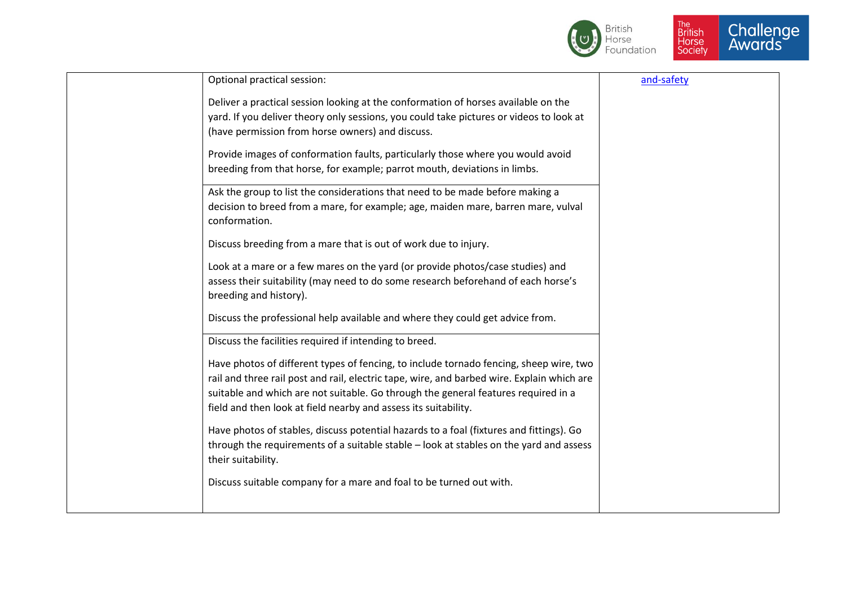

| Optional practical session:                                                                                  | and-safety |
|--------------------------------------------------------------------------------------------------------------|------------|
| Deliver a practical session looking at the conformation of horses available on the                           |            |
| yard. If you deliver theory only sessions, you could take pictures or videos to look at                      |            |
| (have permission from horse owners) and discuss.                                                             |            |
| Provide images of conformation faults, particularly those where you would avoid                              |            |
| breeding from that horse, for example; parrot mouth, deviations in limbs.                                    |            |
| Ask the group to list the considerations that need to be made before making a                                |            |
| decision to breed from a mare, for example; age, maiden mare, barren mare, vulval<br>conformation.           |            |
| Discuss breeding from a mare that is out of work due to injury.                                              |            |
| Look at a mare or a few mares on the yard (or provide photos/case studies) and                               |            |
| assess their suitability (may need to do some research beforehand of each horse's<br>breeding and history).  |            |
| Discuss the professional help available and where they could get advice from.                                |            |
| Discuss the facilities required if intending to breed.                                                       |            |
| Have photos of different types of fencing, to include tornado fencing, sheep wire, two                       |            |
| rail and three rail post and rail, electric tape, wire, and barbed wire. Explain which are                   |            |
| suitable and which are not suitable. Go through the general features required in a                           |            |
| field and then look at field nearby and assess its suitability.                                              |            |
| Have photos of stables, discuss potential hazards to a foal (fixtures and fittings). Go                      |            |
| through the requirements of a suitable stable - look at stables on the yard and assess<br>their suitability. |            |
| Discuss suitable company for a mare and foal to be turned out with.                                          |            |
|                                                                                                              |            |
|                                                                                                              |            |